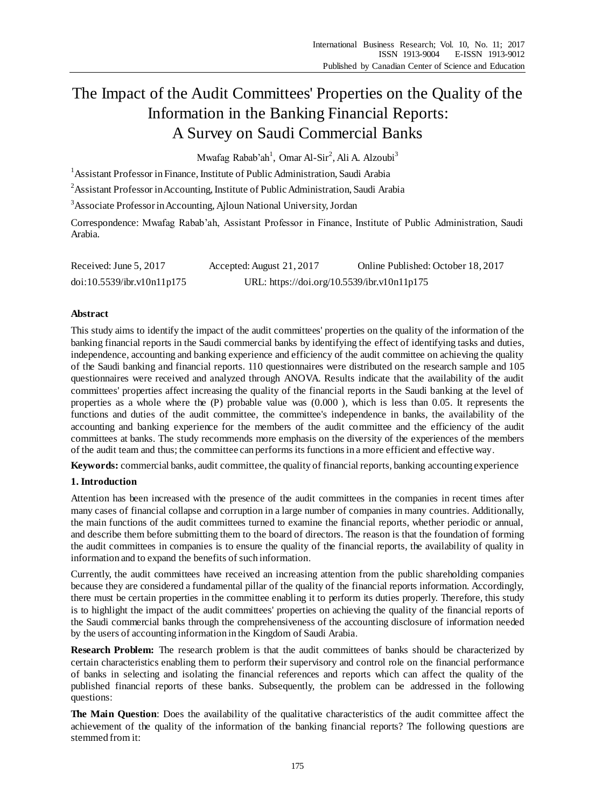# The Impact of the Audit Committees' Properties on the Quality of the Information in the Banking Financial Reports: A Survey on Saudi Commercial Banks

Mwafag Rabab'ah<sup>1</sup>, Omar Al-Sir<sup>2</sup>, Ali A. Alzoubi<sup>3</sup>

<sup>1</sup> Assistant Professor in Finance, Institute of Public Administration, Saudi Arabia

<sup>2</sup> Assistant Professor in Accounting, Institute of Public Administration, Saudi Arabia

<sup>3</sup>Associate Professor in Accounting, Ajloun National University, Jordan

Correspondence: Mwafag Rabab'ah, Assistant Professor in Finance, Institute of Public Administration, Saudi Arabia.

| Received: June 5, 2017     | Accepted: August 21, 2017                   | Online Published: October 18, 2017 |
|----------------------------|---------------------------------------------|------------------------------------|
| doi:10.5539/ibr.v10n11p175 | URL: https://doi.org/10.5539/ibr.v10n11p175 |                                    |

## **Abstract**

This study aims to identify the impact of the audit committees' properties on the quality of the information of the banking financial reports in the Saudi commercial banks by identifying the effect of identifying tasks and duties, independence, accounting and banking experience and efficiency of the audit committee on achieving the quality of the Saudi banking and financial reports. 110 questionnaires were distributed on the research sample and 105 questionnaires were received and analyzed through ANOVA. Results indicate that the availability of the audit committees' properties affect increasing the quality of the financial reports in the Saudi banking at the level of properties as a whole where the (P) probable value was (0.000 ), which is less than 0.05. It represents the functions and duties of the audit committee, the committee's independence in banks, the availability of the accounting and banking experience for the members of the audit committee and the efficiency of the audit committees at banks. The study recommends more emphasis on the diversity of the experiences of the members of the audit team and thus; the committee can performs its functions in a more efficient and effective way.

**Keywords:** commercial banks, audit committee, the quality of financial reports, banking accounting experience

# **1. Introduction**

Attention has been increased with the presence of the audit committees in the companies in recent times after many cases of financial collapse and corruption in a large number of companies in many countries. Additionally, the main functions of the audit committees turned to examine the financial reports, whether periodic or annual, and describe them before submitting them to the board of directors. The reason is that the foundation of forming the audit committees in companies is to ensure the quality of the financial reports, the availability of quality in information and to expand the benefits of such information.

Currently, the audit committees have received an increasing attention from the public shareholding companies because they are considered a fundamental pillar of the quality of the financial reports information. Accordingly, there must be certain properties in the committee enabling it to perform its duties properly. Therefore, this study is to highlight the impact of the audit committees' properties on achieving the quality of the financial reports of the Saudi commercial banks through the comprehensiveness of the accounting disclosure of information needed by the users of accounting information in the Kingdom of Saudi Arabia.

**Research Problem:** The research problem is that the audit committees of banks should be characterized by certain characteristics enabling them to perform their supervisory and control role on the financial performance of banks in selecting and isolating the financial references and reports which can affect the quality of the published financial reports of these banks. Subsequently, the problem can be addressed in the following questions:

**The Main Question**: Does the availability of the qualitative characteristics of the audit committee affect the achievement of the quality of the information of the banking financial reports? The following questions are stemmed from it: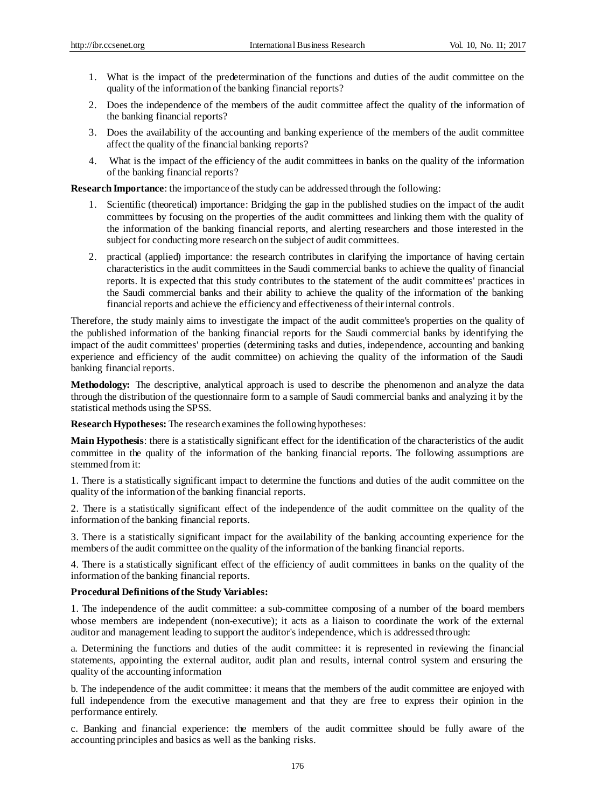- 1. What is the impact of the predetermination of the functions and duties of the audit committee on the quality of the information of the banking financial reports?
- 2. Does the independence of the members of the audit committee affect the quality of the information of the banking financial reports?
- 3. Does the availability of the accounting and banking experience of the members of the audit committee affect the quality of the financial banking reports?
- 4. What is the impact of the efficiency of the audit committees in banks on the quality of the information of the banking financial reports?

**Research Importance**: the importance of the study can be addressed through the following:

- 1. Scientific (theoretical) importance: Bridging the gap in the published studies on the impact of the audit committees by focusing on the properties of the audit committees and linking them with the quality of the information of the banking financial reports, and alerting researchers and those interested in the subject for conducting more research on the subject of audit committees.
- 2. practical (applied) importance: the research contributes in clarifying the importance of having certain characteristics in the audit committees in the Saudi commercial banks to achieve the quality of financial reports. It is expected that this study contributes to the statement of the audit committe es' practices in the Saudi commercial banks and their ability to achieve the quality of the information of the banking financial reports and achieve the efficiency and effectiveness of their internal controls.

Therefore, the study mainly aims to investigate the impact of the audit committee's properties on the quality of the published information of the banking financial reports for the Saudi commercial banks by identifying the impact of the audit committees' properties (determining tasks and duties, independence, accounting and banking experience and efficiency of the audit committee) on achieving the quality of the information of the Saudi banking financial reports.

**Methodology:** The descriptive, analytical approach is used to describe the phenomenon and analyze the data through the distribution of the questionnaire form to a sample of Saudi commercial banks and analyzing it by the statistical methods using the SPSS.

**Research Hypotheses:** The research examines the following hypotheses:

**Main Hypothesis**: there is a statistically significant effect for the identification of the characteristics of the audit committee in the quality of the information of the banking financial reports. The following assumptions are stemmed from it:

1. There is a statistically significant impact to determine the functions and duties of the audit committee on the quality of the information of the banking financial reports.

2. There is a statistically significant effect of the independence of the audit committee on the quality of the information of the banking financial reports.

3. There is a statistically significant impact for the availability of the banking accounting experience for the members of the audit committee on the quality of the information of the banking financial reports.

4. There is a statistically significant effect of the efficiency of audit committees in banks on the quality of the information of the banking financial reports.

## **Procedural Definitions of the Study Variables:**

1. The independence of the audit committee: a sub-committee composing of a number of the board members whose members are independent (non-executive); it acts as a liaison to coordinate the work of the external auditor and management leading to support the auditor's independence, which is addressed through:

a. Determining the functions and duties of the audit committee: it is represented in reviewing the financial statements, appointing the external auditor, audit plan and results, internal control system and ensuring the quality of the accounting information

b. The independence of the audit committee: it means that the members of the audit committee are enjoyed with full independence from the executive management and that they are free to express their opinion in the performance entirely.

c. Banking and financial experience: the members of the audit committee should be fully aware of the accounting principles and basics as well as the banking risks.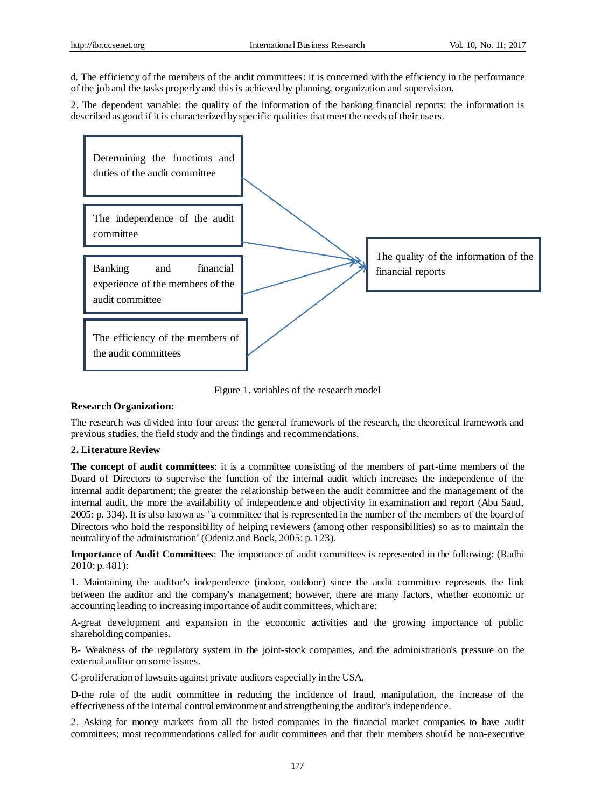d. The efficiency of the members of the audit committees: it is concerned with the efficiency in the performance of the job and the tasks properly and this is achieved by planning, organization and supervision.

2. The dependent variable: the quality of the information of the banking financial reports: the information is described as good if it is characterized by specific qualities that meet the needs of their users.



Figure 1. variables of the research model

# **Research Organization:**

The research was divided into four areas: the general framework of the research, the theoretical framework and previous studies, the field study and the findings and recommendations.

## **2. Literature Review**

**The concept of audit committees**: it is a committee consisting of the members of part-time members of the Board of Directors to supervise the function of the internal audit which increases the independence of the internal audit department; the greater the relationship between the audit committee and the management of the internal audit, the more the availability of independence and objectivity in examination and report (Abu Saud, 2005: p. 334). It is also known as "a committee that is represented in the number of the members of the board of Directors who hold the responsibility of helping reviewers (among other responsibilities) so as to maintain the neutrality of the administration" (Odeniz and Bock, 2005: p. 123).

**Importance of Audit Committees**: The importance of audit committees is represented in the following: (Radhi 2010: p. 481):

1. Maintaining the auditor's independence (indoor, outdoor) since the audit committee represents the link between the auditor and the company's management; however, there are many factors, whether economic or accounting leading to increasing importance of audit committees, which are:

A-great development and expansion in the economic activities and the growing importance of public shareholding companies.

B- Weakness of the regulatory system in the joint-stock companies, and the administration's pressure on the external auditor on some issues.

C-proliferation of lawsuits against private auditors especially in the USA.

D-the role of the audit committee in reducing the incidence of fraud, manipulation, the increase of the effectiveness of the internal control environment and strengthening the auditor's independence.

2. Asking for money markets from all the listed companies in the financial market companies to have audit committees; most recommendations called for audit committees and that their members should be non-executive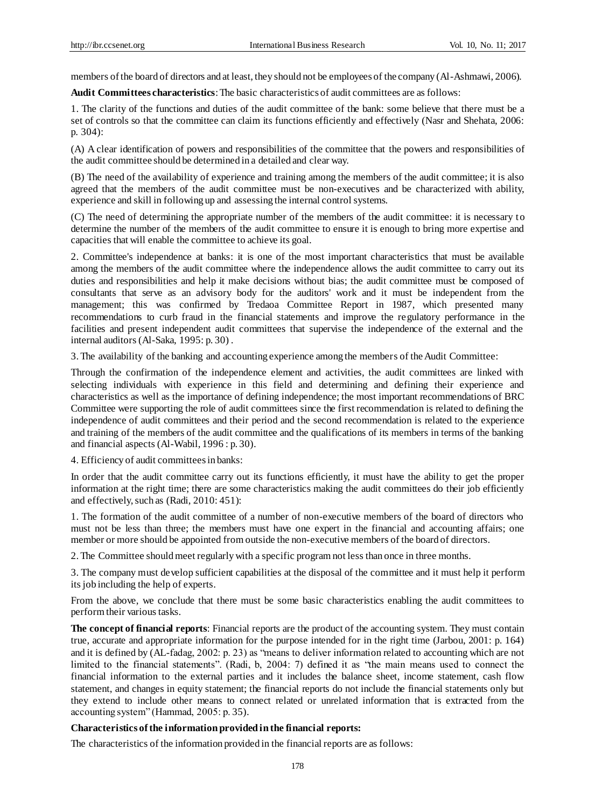members of the board of directors and at least, they should not be employees of the company (Al-Ashmawi, 2006).

**Audit Committees characteristics**: The basic characteristics of audit committees are as follows:

1. The clarity of the functions and duties of the audit committee of the bank: some believe that there must be a set of controls so that the committee can claim its functions efficiently and effectively (Nasr and Shehata, 2006: p. 304):

(A) A clear identification of powers and responsibilities of the committee that the powers and responsibilities of the audit committee should be determined in a detailed and clear way.

(B) The need of the availability of experience and training among the members of the audit committee; it is also agreed that the members of the audit committee must be non-executives and be characterized with ability, experience and skill in following up and assessing the internal control systems.

(C) The need of determining the appropriate number of the members of the audit committee: it is necessary to determine the number of the members of the audit committee to ensure it is enough to bring more expertise and capacities that will enable the committee to achieve its goal.

2. Committee's independence at banks: it is one of the most important characteristics that must be available among the members of the audit committee where the independence allows the audit committee to carry out its duties and responsibilities and help it make decisions without bias; the audit committee must be composed of consultants that serve as an advisory body for the auditors' work and it must be independent from the management; this was confirmed by Tredaoa Committee Report in 1987, which presented many recommendations to curb fraud in the financial statements and improve the regulatory performance in the facilities and present independent audit committees that supervise the independence of the external and the internal auditors (Al-Saka, 1995: p. 30) .

3. The availability of the banking and accounting experience among the members of the Audit Committee:

Through the confirmation of the independence element and activities, the audit committees are linked with selecting individuals with experience in this field and determining and defining their experience and characteristics as well as the importance of defining independence; the most important recommendations of BRC Committee were supporting the role of audit committees since the first recommendation is related to defining the independence of audit committees and their period and the second recommendation is related to the experience and training of the members of the audit committee and the qualifications of its members in terms of the banking and financial aspects (Al-Wabil, 1996 : p. 30).

4. Efficiency of audit committees in banks:

In order that the audit committee carry out its functions efficiently, it must have the ability to get the proper information at the right time; there are some characteristics making the audit committees do their job efficiently and effectively, such as (Radi, 2010: 451):

1. The formation of the audit committee of a number of non-executive members of the board of directors who must not be less than three; the members must have one expert in the financial and accounting affairs; one member or more should be appointed from outside the non-executive members of the board of directors.

2. The Committee should meet regularly with a specific program not less than once in three months.

3. The company must develop sufficient capabilities at the disposal of the committee and it must help it perform its job including the help of experts.

From the above, we conclude that there must be some basic characteristics enabling the audit committees to perform their various tasks.

**The concept of financial reports**: Financial reports are the product of the accounting system. They must contain true, accurate and appropriate information for the purpose intended for in the right time (Jarbou, 2001: p. 164) and it is defined by (AL-fadag, 2002: p. 23) as "means to deliver information related to accounting which are not limited to the financial statements". (Radi, b, 2004: 7) defined it as "the main means used to connect the financial information to the external parties and it includes the balance sheet, income statement, cash flow statement, and changes in equity statement; the financial reports do not include the financial statements only but they extend to include other means to connect related or unrelated information that is extracted from the accounting system" (Hammad, 2005: p. 35).

## **Characteristics of the information provided in the financial reports:**

The characteristics of the information provided in the financial reports are as follows: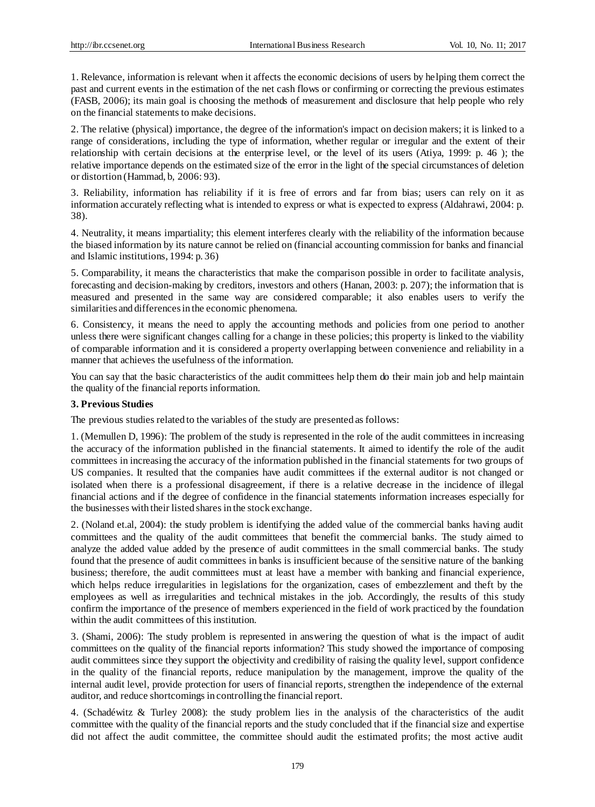1. Relevance, information is relevant when it affects the economic decisions of users by helping them correct the past and current events in the estimation of the net cash flows or confirming or correcting the previous estimates (FASB, 2006); its main goal is choosing the methods of measurement and disclosure that help people who rely on the financial statements to make decisions.

2. The relative (physical) importance, the degree of the information's impact on decision makers; it is linked to a range of considerations, including the type of information, whether regular or irregular and the extent of their relationship with certain decisions at the enterprise level, or the level of its users (Atiya, 1999: p. 46 ); the relative importance depends on the estimated size of the error in the light of the special circumstances of deletion or distortion (Hammad, b, 2006: 93).

3. Reliability, information has reliability if it is free of errors and far from bias; users can rely on it as information accurately reflecting what is intended to express or what is expected to express (Aldahrawi, 2004: p. 38).

4. Neutrality, it means impartiality; this element interferes clearly with the reliability of the information because the biased information by its nature cannot be relied on (financial accounting commission for banks and financial and Islamic institutions, 1994: p. 36)

5. Comparability, it means the characteristics that make the comparison possible in order to facilitate analysis, forecasting and decision-making by creditors, investors and others (Hanan, 2003: p. 207); the information that is measured and presented in the same way are considered comparable; it also enables users to verify the similarities and differences in the economic phenomena.

6. Consistency, it means the need to apply the accounting methods and policies from one period to another unless there were significant changes calling for a change in these policies; this property is linked to the viability of comparable information and it is considered a property overlapping between convenience and reliability in a manner that achieves the usefulness of the information.

You can say that the basic characteristics of the audit committees help them do their main job and help maintain the quality of the financial reports information.

## **3. Previous Studies**

The previous studies related to the variables of the study are presented as follows:

1. (Memullen D, 1996): The problem of the study is represented in the role of the audit committees in increasing the accuracy of the information published in the financial statements. It aimed to identify the role of the audit committees in increasing the accuracy of the information published in the financial statements for two groups of US companies. It resulted that the companies have audit committees if the external auditor is not changed or isolated when there is a professional disagreement, if there is a relative decrease in the incidence of illegal financial actions and if the degree of confidence in the financial statements information increases especially for the businesses with their listed shares in the stock exchange.

2. (Noland et.al, 2004): the study problem is identifying the added value of the commercial banks having audit committees and the quality of the audit committees that benefit the commercial banks. The study aimed to analyze the added value added by the presence of audit committees in the small commercial banks. The study found that the presence of audit committees in banks is insufficient because of the sensitive nature of the banking business; therefore, the audit committees must at least have a member with banking and financial experience, which helps reduce irregularities in legislations for the organization, cases of embezzlement and theft by the employees as well as irregularities and technical mistakes in the job. Accordingly, the results of this study confirm the importance of the presence of members experienced in the field of work practiced by the foundation within the audit committees of this institution.

3. (Shami, 2006): The study problem is represented in answering the question of what is the impact of audit committees on the quality of the financial reports information? This study showed the importance of composing audit committees since they support the objectivity and credibility of raising the quality level, support confidence in the quality of the financial reports, reduce manipulation by the management, improve the quality of the internal audit level, provide protection for users of financial reports, strengthen the independence of the external auditor, and reduce shortcomings in controlling the financial report.

4. (Schadéwitz & Turley 2008): the study problem lies in the analysis of the characteristics of the audit committee with the quality of the financial reports and the study concluded that if the financial size and expertise did not affect the audit committee, the committee should audit the estimated profits; the most active audit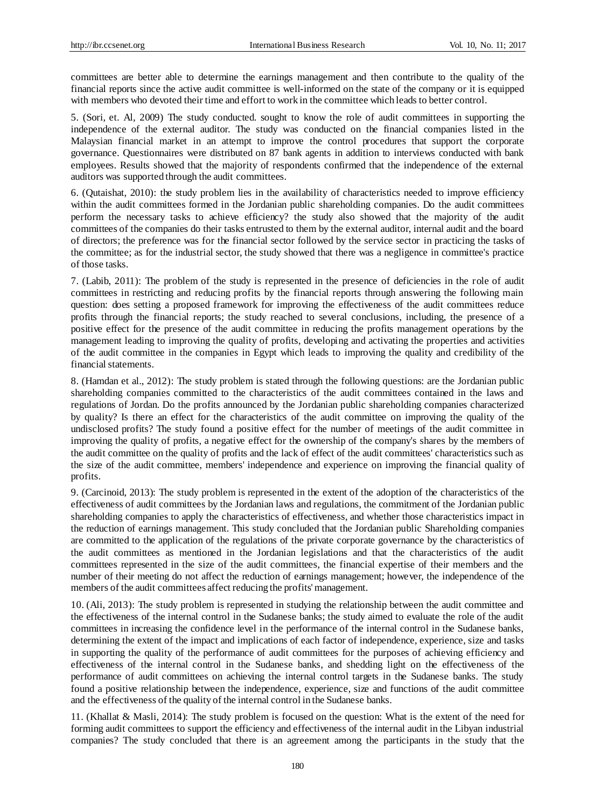committees are better able to determine the earnings management and then contribute to the quality of the financial reports since the active audit committee is well-informed on the state of the company or it is equipped with members who devoted their time and effort to work in the committee which leads to better control.

5. (Sori, et. Al, 2009) The study conducted. sought to know the role of audit committees in supporting the independence of the external auditor. The study was conducted on the financial companies listed in the Malaysian financial market in an attempt to improve the control procedures that support the corporate governance. Questionnaires were distributed on 87 bank agents in addition to interviews conducted with bank employees. Results showed that the majority of respondents confirmed that the independence of the external auditors was supported through the audit committees.

6. (Qutaishat, 2010): the study problem lies in the availability of characteristics needed to improve efficiency within the audit committees formed in the Jordanian public shareholding companies. Do the audit committees perform the necessary tasks to achieve efficiency? the study also showed that the majority of the audit committees of the companies do their tasks entrusted to them by the external auditor, internal audit and the board of directors; the preference was for the financial sector followed by the service sector in practicing the tasks of the committee; as for the industrial sector, the study showed that there was a negligence in committee's practice of those tasks.

7. (Labib, 2011): The problem of the study is represented in the presence of deficiencies in the role of audit committees in restricting and reducing profits by the financial reports through answering the following main question: does setting a proposed framework for improving the effectiveness of the audit committees reduce profits through the financial reports; the study reached to several conclusions, including, the presence of a positive effect for the presence of the audit committee in reducing the profits management operations by the management leading to improving the quality of profits, developing and activating the properties and activities of the audit committee in the companies in Egypt which leads to improving the quality and credibility of the financial statements.

8. (Hamdan et al., 2012): The study problem is stated through the following questions: are the Jordanian public shareholding companies committed to the characteristics of the audit committees contained in the laws and regulations of Jordan. Do the profits announced by the Jordanian public shareholding companies characterized by quality? Is there an effect for the characteristics of the audit committee on improving the quality of the undisclosed profits? The study found a positive effect for the number of meetings of the audit committee in improving the quality of profits, a negative effect for the ownership of the company's shares by the members of the audit committee on the quality of profits and the lack of effect of the audit committees' characteristics such as the size of the audit committee, members' independence and experience on improving the financial quality of profits.

9. (Carcinoid, 2013): The study problem is represented in the extent of the adoption of the characteristics of the effectiveness of audit committees by the Jordanian laws and regulations, the commitment of the Jordanian public shareholding companies to apply the characteristics of effectiveness, and whether those characteristics impact in the reduction of earnings management. This study concluded that the Jordanian public Shareholding companies are committed to the application of the regulations of the private corporate governance by the characteristics of the audit committees as mentioned in the Jordanian legislations and that the characteristics of the audit committees represented in the size of the audit committees, the financial expertise of their members and the number of their meeting do not affect the reduction of earnings management; however, the independence of the members of the audit committees affect reducing the profits' management.

10. (Ali, 2013): The study problem is represented in studying the relationship between the audit committee and the effectiveness of the internal control in the Sudanese banks; the study aimed to evaluate the role of the audit committees in increasing the confidence level in the performance of the internal control in the Sudanese banks, determining the extent of the impact and implications of each factor of independence, experience, size and tasks in supporting the quality of the performance of audit committees for the purposes of achieving efficiency and effectiveness of the internal control in the Sudanese banks, and shedding light on the effectiveness of the performance of audit committees on achieving the internal control targets in the Sudanese banks. The study found a positive relationship between the independence, experience, size and functions of the audit committee and the effectiveness of the quality of the internal control in the Sudanese banks.

11. (Khallat & Masli, 2014): The study problem is focused on the question: What is the extent of the need for forming audit committees to support the efficiency and effectiveness of the internal audit in the Libyan industrial companies? The study concluded that there is an agreement among the participants in the study that the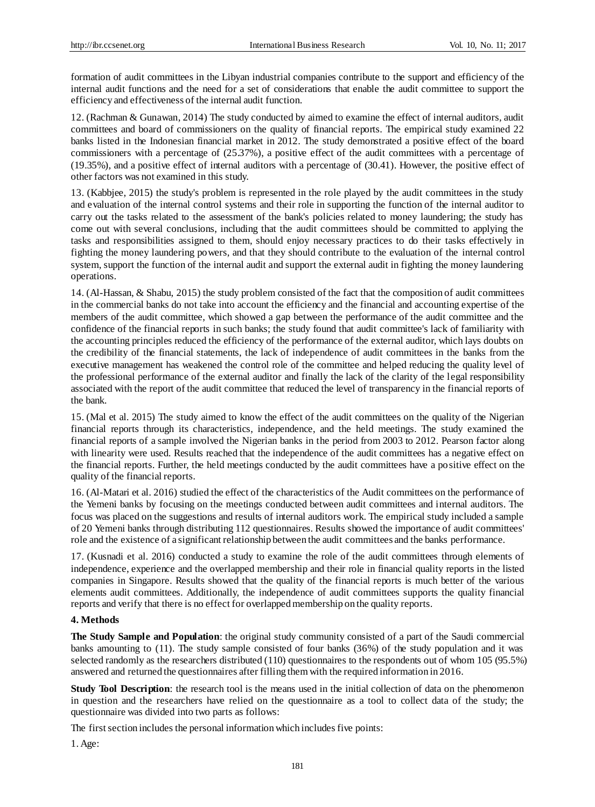formation of audit committees in the Libyan industrial companies contribute to the support and efficiency of the internal audit functions and the need for a set of considerations that enable the audit committee to support the efficiency and effectiveness of the internal audit function.

12. (Rachman & Gunawan, 2014) The study conducted by aimed to examine the effect of internal auditors, audit committees and board of commissioners on the quality of financial reports. The empirical study examined 22 banks listed in the Indonesian financial market in 2012. The study demonstrated a positive effect of the board commissioners with a percentage of (25.37%), a positive effect of the audit committees with a percentage of (19.35%), and a positive effect of internal auditors with a percentage of (30.41). However, the positive effect of other factors was not examined in this study.

13. (Kabbjee, 2015) the study's problem is represented in the role played by the audit committees in the study and evaluation of the internal control systems and their role in supporting the function of the internal auditor to carry out the tasks related to the assessment of the bank's policies related to money laundering; the study has come out with several conclusions, including that the audit committees should be committed to applying the tasks and responsibilities assigned to them, should enjoy necessary practices to do their tasks effectively in fighting the money laundering powers, and that they should contribute to the evaluation of the internal control system, support the function of the internal audit and support the external audit in fighting the money laundering operations.

14. (Al-Hassan, & Shabu, 2015) the study problem consisted of the fact that the composition of audit committees in the commercial banks do not take into account the efficiency and the financial and accounting expertise of the members of the audit committee, which showed a gap between the performance of the audit committee and the confidence of the financial reports in such banks; the study found that audit committee's lack of familiarity with the accounting principles reduced the efficiency of the performance of the external auditor, which lays doubts on the credibility of the financial statements, the lack of independence of audit committees in the banks from the executive management has weakened the control role of the committee and helped reducing the quality level of the professional performance of the external auditor and finally the lack of the clarity of the legal responsibility associated with the report of the audit committee that reduced the level of transparency in the financial reports of the bank.

15. (Mal et al. 2015) The study aimed to know the effect of the audit committees on the quality of the Nigerian financial reports through its characteristics, independence, and the held meetings. The study examined the financial reports of a sample involved the Nigerian banks in the period from 2003 to 2012. Pearson factor along with linearity were used. Results reached that the independence of the audit committees has a negative effect on the financial reports. Further, the held meetings conducted by the audit committees have a positive effect on the quality of the financial reports.

16. (Al-Matari et al. 2016) studied the effect of the characteristics of the Audit committees on the performance of the Yemeni banks by focusing on the meetings conducted between audit committees and internal auditors. The focus was placed on the suggestions and results of internal auditors work. The empirical study included a sample of 20 Yemeni banks through distributing 112 questionnaires. Results showed the importance of audit committees' role and the existence of a significant relationship between the audit committees and the banks performance.

17. (Kusnadi et al. 2016) conducted a study to examine the role of the audit committees through elements of independence, experience and the overlapped membership and their role in financial quality reports in the listed companies in Singapore. Results showed that the quality of the financial reports is much better of the various elements audit committees. Additionally, the independence of audit committees supports the quality financial reports and verify that there is no effect for overlapped membership on the quality reports.

## **4. Methods**

**The Study Sample and Population**: the original study community consisted of a part of the Saudi commercial banks amounting to (11). The study sample consisted of four banks (36%) of the study population and it was selected randomly as the researchers distributed (110) questionnaires to the respondents out of whom 105 (95.5%) answered and returned the questionnaires after filling them with the required information in 2016.

**Study Tool Description**: the research tool is the means used in the initial collection of data on the phenomenon in question and the researchers have relied on the questionnaire as a tool to collect data of the study; the questionnaire was divided into two parts as follows:

The first section includes the personal information which includes five points:

1. Age: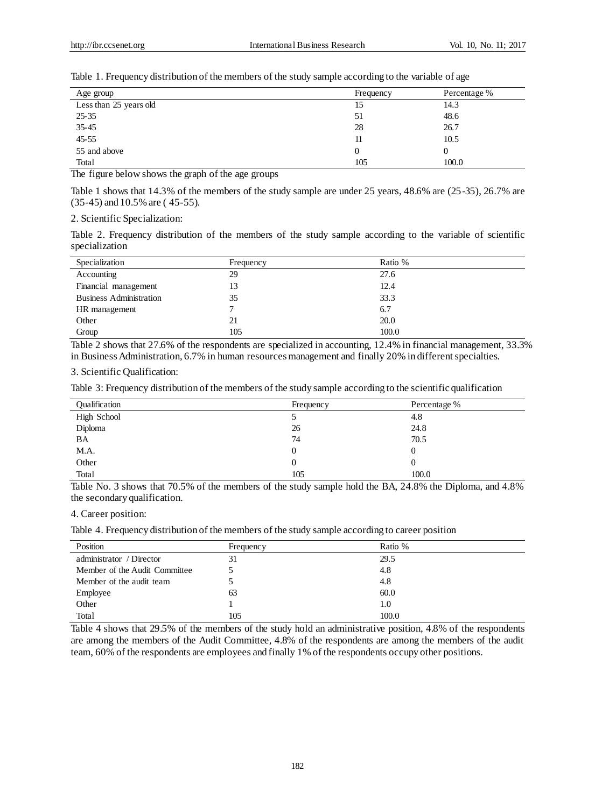Table 1. Frequency distribution of the members of the study sample according to the variable of age

| Age group              | Frequency | Percentage % |
|------------------------|-----------|--------------|
| Less than 25 years old | 15        | 14.3         |
| $25 - 35$              | 51        | 48.6         |
| $35 - 45$              | 28        | 26.7         |
| $45 - 55$              | 11        | 10.5         |
| 55 and above           | $\theta$  | 0            |
| Total                  | 105       | 100.0        |

The figure below shows the graph of the age groups

Table 1 shows that 14.3% of the members of the study sample are under 25 years, 48.6% are (25-35), 26.7% are (35-45) and 10.5% are ( 45-55).

2. Scientific Specialization:

Table 2. Frequency distribution of the members of the study sample according to the variable of scientific specialization

| Specialization                 | Frequency | Ratio % |
|--------------------------------|-----------|---------|
| Accounting                     | 29        | 27.6    |
| Financial management           | 13        | 12.4    |
| <b>Business Administration</b> | 35        | 33.3    |
| HR management                  |           | 6.7     |
| Other                          | 21        | 20.0    |
| Group                          | 105       | 100.0   |

Table 2 shows that 27.6% of the respondents are specialized in accounting, 12.4% in financial management, 33.3% in Business Administration, 6.7% in human resources management and finally 20% in different specialties.

3. Scientific Qualification:

Table 3: Frequency distribution of the members of the study sample according to the scientific qualification

| <b>Qualification</b> | Frequency | Percentage % |
|----------------------|-----------|--------------|
| High School          |           | 4.8          |
| Diploma              | 26        | 24.8         |
| BA                   | 74        | 70.5         |
| M.A.                 | $_{0}$    | $\theta$     |
| Other                | 0         |              |
| Total                | 105       | 100.0        |

Table No. 3 shows that 70.5% of the members of the study sample hold the BA, 24.8% the Diploma, and 4.8% the secondary qualification.

4. Career position:

Table 4. Frequency distribution of the members of the study sample according to career position

| Position                      | Frequency | Ratio % |
|-------------------------------|-----------|---------|
| administrator / Director      | 31        | 29.5    |
| Member of the Audit Committee |           | 4.8     |
| Member of the audit team      |           | 4.8     |
| Employee                      | 63        | 60.0    |
| Other                         |           | 1.0     |
| Total                         | 105       | 100.0   |

Table 4 shows that 29.5% of the members of the study hold an administrative position, 4.8% of the respondents are among the members of the Audit Committee, 4.8% of the respondents are among the members of the audit team, 60% of the respondents are employees and finally 1% of the respondents occupy other positions.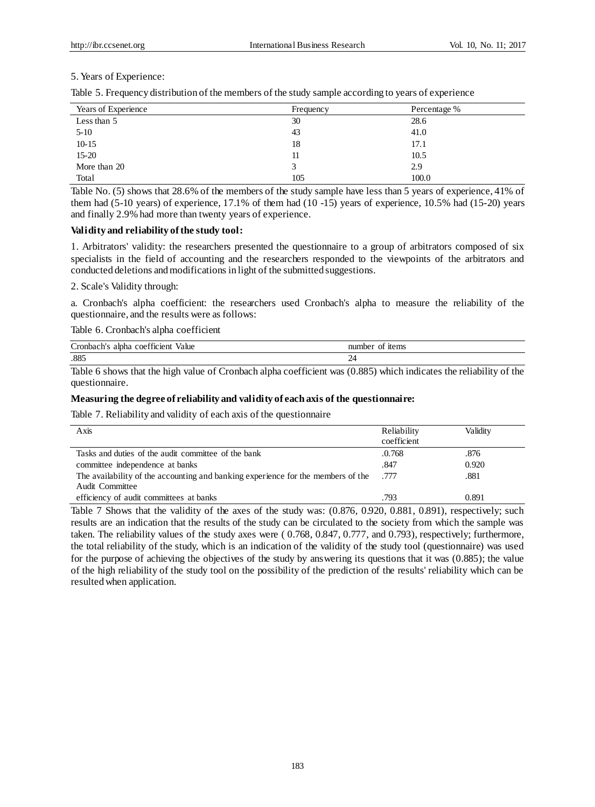## 5. Years of Experience:

Table 5. Frequency distribution of the members of the study sample according to years of experience

| Years of Experience | Frequency | Percentage % |  |
|---------------------|-----------|--------------|--|
| Less than 5         | 30        | 28.6         |  |
| $5 - 10$            | 43        | 41.0         |  |
| $10 - 15$           | 18        | 17.1         |  |
| $15-20$             |           | 10.5         |  |
| More than 20        |           | 2.9          |  |
| Total               | 105       | 100.0        |  |

Table No. (5) shows that 28.6% of the members of the study sample have less than 5 years of experience, 41% of them had (5-10 years) of experience, 17.1% of them had (10 -15) years of experience, 10.5% had (15-20) years and finally 2.9% had more than twenty years of experience.

## **Validity and reliability of the study tool:**

1. Arbitrators' validity: the researchers presented the questionnaire to a group of arbitrators composed of six specialists in the field of accounting and the researchers responded to the viewpoints of the arbitrators and conducted deletions and modifications in light of the submitted suggestions.

#### 2. Scale's Validity through:

a. Cronbach's alpha coefficient: the researchers used Cronbach's alpha to measure the reliability of the questionnaire, and the results were as follows:

#### Table 6. Cronbach's alpha coefficient

| $\sim$<br>⌒<br>value<br><b>CONTRACTOR</b><br>o les la c<br>*1c1eni<br>∩ot<br>,,,,,<br>.<br>.<br>. | n. |
|---------------------------------------------------------------------------------------------------|----|
| .885                                                                                              | ∼  |

Table 6 shows that the high value of Cronbach alpha coefficient was (0.885) which indicates the reliability of the questionnaire.

#### **Measuring the degree of reliability and validity of each axis of the questionnaire:**

Table 7. Reliability and validity of each axis of the questionnaire

| Axis                                                                                                | Reliability<br>coefficient | Validity |
|-----------------------------------------------------------------------------------------------------|----------------------------|----------|
| Tasks and duties of the audit committee of the bank                                                 | .0.768                     | .876     |
| committee independence at banks                                                                     | .847                       | 0.920    |
| The availability of the accounting and banking experience for the members of the<br>Audit Committee | . 777                      | .881     |
| efficiency of audit committees at banks                                                             | .793                       | 0.891    |

Table 7 Shows that the validity of the axes of the study was: (0.876, 0.920, 0.881, 0.891), respectively; such results are an indication that the results of the study can be circulated to the society from which the sample was taken. The reliability values of the study axes were ( 0.768, 0.847, 0.777, and 0.793), respectively; furthermore, the total reliability of the study, which is an indication of the validity of the study tool (questionnaire) was used for the purpose of achieving the objectives of the study by answering its questions that it was (0.885); the value of the high reliability of the study tool on the possibility of the prediction of the results' reliability which can be resulted when application.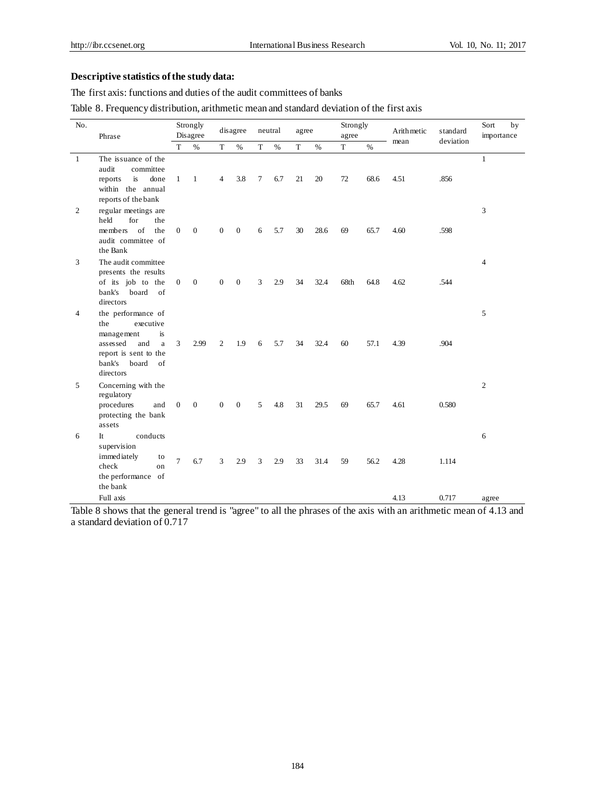# **Descriptive statistics of the study data:**

The first axis: functions and duties of the audit committees of banks

Table 8. Frequency distribution, arithmetic mean and standard deviation of the first axis

| No.          | Phrase                                                                                                                                            |                | Strongly<br>Disagree | disagree       |                |   | neutral |    | agree |      | Strongly | Arithmetic | standard<br>deviation | Sort<br>by<br>importance |
|--------------|---------------------------------------------------------------------------------------------------------------------------------------------------|----------------|----------------------|----------------|----------------|---|---------|----|-------|------|----------|------------|-----------------------|--------------------------|
|              |                                                                                                                                                   | T              | $\%$                 | T              | $\%$           | T | $\%$    | T  | $\%$  | T    | $\%$     | mean       |                       |                          |
| $\mathbf{1}$ | The issuance of the<br>audit<br>committee<br>is<br>reports<br>done<br>within the annual<br>reports of the bank                                    | $\mathbf{1}$   | $\mathbf{1}$         | $\overline{4}$ | 3.8            | 7 | 6.7     | 21 | 20    | 72   | 68.6     | 4.51       | .856                  | $\mathbf{1}$             |
| 2            | regular meetings are<br>held<br>for<br>the<br>members of<br>the<br>audit committee of<br>the Bank                                                 | $\mathbf{0}$   | $\mathbf{0}$         | $\mathbf{0}$   | $\mathbf{0}$   | 6 | 5.7     | 30 | 28.6  | 69   | 65.7     | 4.60       | .598                  | 3                        |
| 3            | The audit committee<br>presents the results<br>of its job to the<br>bank's board of<br>directors                                                  | $\overline{0}$ | $\mathbf{0}$         | $\mathbf{0}$   | $\overline{0}$ | 3 | 2.9     | 34 | 32.4  | 68th | 64.8     | 4.62       | .544                  | $\overline{4}$           |
| 4            | the performance of<br>the<br>executive<br>management<br>is<br>assessed<br>and<br>a<br>report is sent to the<br>board<br>bank's<br>of<br>directors | 3              | 2.99                 | 2              | 1.9            | 6 | 5.7     | 34 | 32.4  | 60   | 57.1     | 4.39       | .904                  | 5                        |
| 5            | Concerning with the<br>regulatory<br>procedures<br>and<br>protecting the bank<br>assets                                                           | $\mathbf{0}$   | $\mathbf{0}$         | $\mathbf{0}$   | $\mathbf{0}$   | 5 | 4.8     | 31 | 29.5  | 69   | 65.7     | 4.61       | 0.580                 | 2                        |
| 6            | It.<br>conducts<br>supervision<br>immediately<br>to<br>check<br>on<br>the performance of<br>the bank                                              | $\overline{7}$ | 6.7                  | 3              | 2.9            | 3 | 2.9     | 33 | 31.4  | 59   | 56.2     | 4.28       | 1.114                 | 6                        |
|              | Full axis                                                                                                                                         |                |                      |                |                |   |         |    |       |      |          | 4.13       | 0.717                 | agree                    |

Table 8 shows that the general trend is "agree" to all the phrases of the axis with an arithmetic mean of 4.13 and a standard deviation of 0.717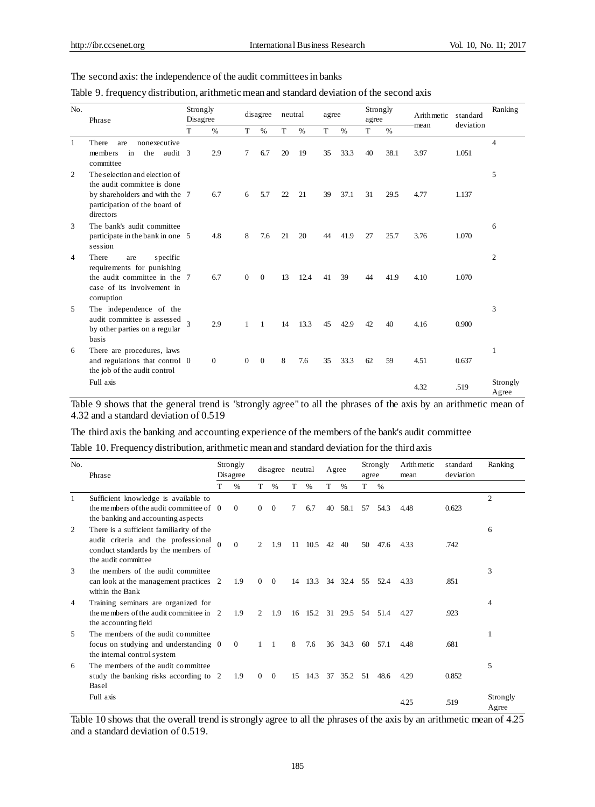## The second axis: the independence of the audit committees in banks

|  | Table 9. frequency distribution, arithmetic mean and standard deviation of the second axis |  |  |
|--|--------------------------------------------------------------------------------------------|--|--|
|  |                                                                                            |  |  |

| No.          | Phrase                                                                                                                                       | Strongly<br>Disagree |                | disagree       |                | neutral |      | agree |               | Strongly<br>agree |      | Arithmetic | standard  | Ranking           |
|--------------|----------------------------------------------------------------------------------------------------------------------------------------------|----------------------|----------------|----------------|----------------|---------|------|-------|---------------|-------------------|------|------------|-----------|-------------------|
|              |                                                                                                                                              | т                    | $\%$           | T              | $\%$           | T       | $\%$ | T     | $\frac{0}{0}$ | T                 | $\%$ | mean       | deviation |                   |
| $\mathbf{1}$ | There<br>nonexecutive<br>are<br>in<br>the<br>members<br>audit 3<br>committee                                                                 |                      | 2.9            | 7              | 6.7            | 20      | 19   | 35    | 33.3          | 40                | 38.1 | 3.97       | 1.051     | 4                 |
| 2            | The selection and election of<br>the audit committee is done<br>by shareholders and with the 7<br>participation of the board of<br>directors |                      | 6.7            | 6              | 5.7            | 22      | 21   | 39    | 37.1          | 31                | 29.5 | 4.77       | 1.137     | 5                 |
| 3            | The bank's audit committee<br>participate in the bank in one 5<br>session                                                                    |                      | 4.8            | 8              | 7.6            | 21      | 20   | 44    | 41.9          | 27                | 25.7 | 3.76       | 1.070     | 6                 |
| 4            | There<br>specific<br>are<br>requirements for punishing<br>the audit committee in the 7<br>case of its involvement in<br>corruption           |                      | 6.7            | $\Omega$       | $\theta$       | 13      | 12.4 | 41    | 39            | 44                | 41.9 | 4.10       | 1.070     | $\overline{2}$    |
| 5            | The independence of the<br>audit committee is assessed<br>by other parties on a regular<br>basis                                             |                      | 2.9            | $\mathbf{1}$   | $\mathbf{1}$   | 14      | 13.3 | 45    | 42.9          | 42                | 40   | 4.16       | 0.900     | 3                 |
| 6            | There are procedures, laws<br>and regulations that control 0<br>the job of the audit control                                                 |                      | $\overline{0}$ | $\overline{0}$ | $\overline{0}$ | 8       | 7.6  | 35    | 33.3          | 62                | 59   | 4.51       | 0.637     | 1                 |
|              | Full axis                                                                                                                                    |                      |                |                |                |         |      |       |               |                   |      | 4.32       | .519      | Strongly<br>Agree |

Table 9 shows that the general trend is "strongly agree" to all the phrases of the axis by an arithmetic mean of 4.32 and a standard deviation of 0.519

The third axis the banking and accounting experience of the members of the bank's audit committee

Table 10. Frequency distribution, arithmetic mean and standard deviation for the third axis

| No.            | Phrase                                                                                                                                        |   | Strongly<br>Disagree | disagree neutral |                |    |                 |    | Agree         |     | Strongly<br>agree | Arithmetic<br>mean | standard<br>deviation | Ranking           |
|----------------|-----------------------------------------------------------------------------------------------------------------------------------------------|---|----------------------|------------------|----------------|----|-----------------|----|---------------|-----|-------------------|--------------------|-----------------------|-------------------|
|                |                                                                                                                                               | т | %                    | T                | $\%$           | T  | $\%$            | T  | $\frac{0}{0}$ | T   | $\%$              |                    |                       |                   |
| $\mathbf{1}$   | Sufficient knowledge is available to<br>the members of the audit committee of 0<br>the banking and accounting aspects                         |   | $\theta$             | $\Omega$         | $\Omega$       | 7  | 6.7             | 40 | 58.1          | 57  | 54.3              | 4.48               | 0.623                 | $\overline{c}$    |
| 2              | There is a sufficient familiarity of the<br>audit criteria and the professional<br>conduct standards by the members of<br>the audit committee |   | $\theta$             | $\mathfrak{D}$   | 1.9            | 11 | 10.5            | 42 | 40            | 50  | 47.6              | 4.33               | .742                  | 6                 |
| 3              | the members of the audit committee<br>can look at the management practices 2<br>within the Bank                                               |   | 1.9                  | $\Omega$         | $\Omega$       |    | 14 13.3         |    | 34 32.4       | 55  | 52.4              | 4.33               | .851                  | 3                 |
| $\overline{4}$ | Training seminars are organized for<br>the members of the audit committee in 2<br>the accounting field                                        |   | 1.9                  | 2                | 1.9            | 16 | $15.2 \quad 31$ |    | 29.5          | .54 | 51.4              | 4.27               | .923                  | 4                 |
| .5             | The members of the audit committee<br>focus on studying and understanding 0<br>the internal control system                                    |   | $\overline{0}$       | 1                | $\overline{1}$ | 8  | 7.6             |    | 36 34.3       | 60  | 57.1              | 4.48               | .681                  |                   |
| 6              | The members of the audit committee<br>study the banking risks according to 2<br>Basel                                                         |   | 1.9                  | $\overline{0}$   | $\overline{0}$ | 15 | 14.3            | 37 | 35.2          | 51  | 48.6              | 4.29               | 0.852                 | 5                 |
|                | Full axis                                                                                                                                     |   |                      |                  |                |    |                 |    |               |     |                   | 4.25               | .519                  | Strongly<br>Agree |

Table 10 shows that the overall trend is strongly agree to all the phrases of the axis by an arithmetic mean of 4.25 and a standard deviation of 0.519.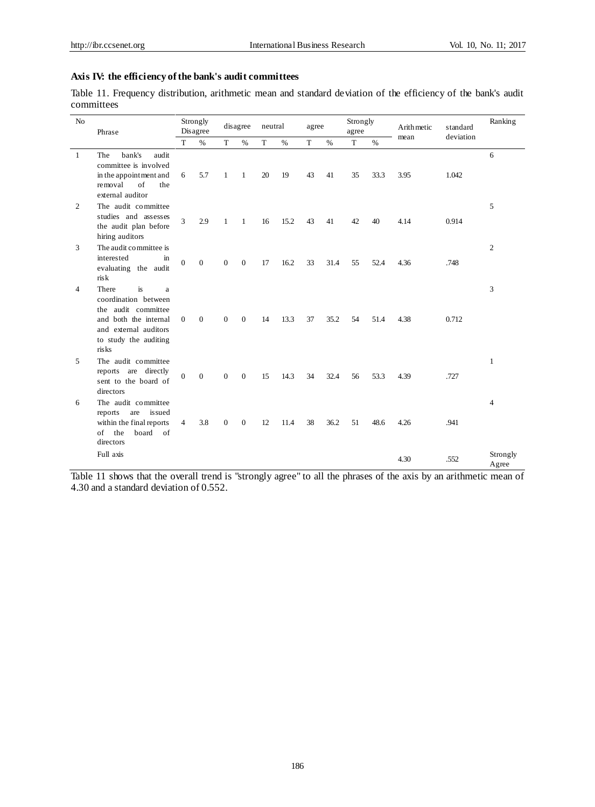## **Axis IV: the efficiency of the bank's audit committees**

Table 11. Frequency distribution, arithmetic mean and standard deviation of the efficiency of the bank's audit committees

| No<br>Phrase   |                                                                                                                                                     |                | Strongly<br>Disagree |                | disagree       | neutral |      | agree |             | Strongly<br>agree |      | Arith metic | standard | Ranking           |
|----------------|-----------------------------------------------------------------------------------------------------------------------------------------------------|----------------|----------------------|----------------|----------------|---------|------|-------|-------------|-------------------|------|-------------|----------|-------------------|
|                | T                                                                                                                                                   | $\%$           | T                    | $\%$           | T              | $\%$    | T    | $\%$  | $\mathbf T$ | $\%$              | mean | deviation   |          |                   |
| $\overline{1}$ | bank's<br>audit<br>The<br>committee is involved<br>in the appointment and<br>removal<br>of<br>the<br>external auditor                               | 6              | 5.7                  | $\mathbf{1}$   | $\mathbf{1}$   | 20      | 19   | 43    | 41          | 35                | 33.3 | 3.95        | 1.042    | 6                 |
| 2              | The audit committee<br>studies and assesses<br>the audit plan before<br>hiring auditors                                                             | $\overline{3}$ | 2.9                  | $\mathbf{1}$   | $\mathbf{1}$   | 16      | 15.2 | 43    | 41          | 42                | 40   | 4.14        | 0.914    | 5                 |
| 3              | The audit committee is<br>interested<br>in<br>evaluating the audit<br>risk                                                                          | $\theta$       | $\theta$             | $\Omega$       | $\overline{0}$ | 17      | 16.2 | 33    | 31.4        | 55                | 52.4 | 4.36        | .748     | $\overline{2}$    |
| 4              | is<br>There<br>a<br>coordination between<br>the audit committee<br>and both the internal<br>and external auditors<br>to study the auditing<br>risks | $\Omega$       | $\mathbf{0}$         | $\Omega$       | $\mathbf{0}$   | 14      | 13.3 | 37    | 35.2        | 54                | 51.4 | 4.38        | 0.712    | 3                 |
| 5              | The audit committee<br>reports are directly<br>sent to the board of<br>directors                                                                    | $\overline{0}$ | $\mathbf{0}$         | $\overline{0}$ | $\mathbf{0}$   | 15      | 14.3 | 34    | 32.4        | 56                | 53.3 | 4.39        | .727     | 1                 |
| 6              | The audit committee<br>reports<br>are<br>is sued<br>within the final reports<br>the<br>board of<br>of<br>directors                                  | $\overline{4}$ | 3.8                  | $\Omega$       | $\mathbf{0}$   | 12      | 11.4 | 38    | 36.2        | 51                | 48.6 | 4.26        | .941     | $\overline{4}$    |
|                | Full axis                                                                                                                                           |                |                      |                |                |         |      |       |             |                   |      | 4.30        | .552     | Strongly<br>Agree |

Table 11 shows that the overall trend is "strongly agree" to all the phrases of the axis by an arithmetic mean of 4.30 and a standard deviation of 0.552.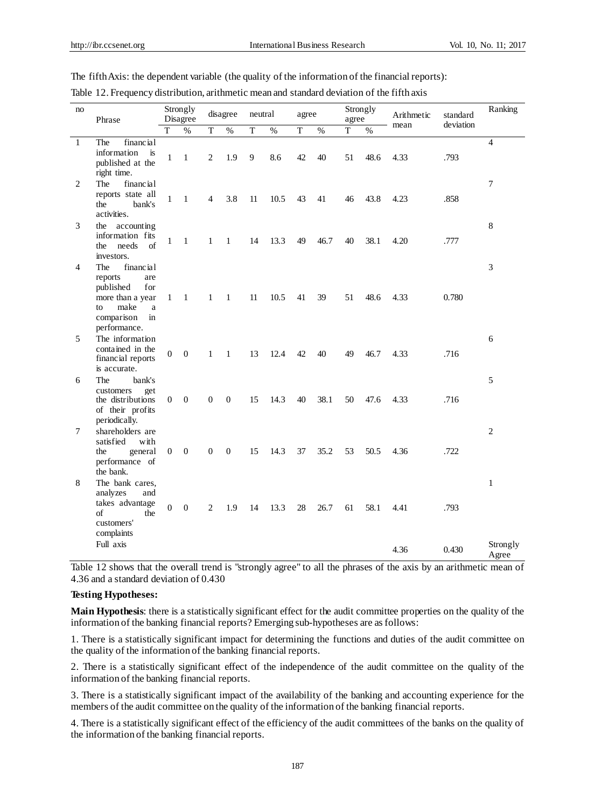| no           | Phrase                                                                                                                            |                  | Strongly<br>Disagree |                  | disagree         | neutral        |      | agree          |      | agree | Strongly | Arithmetic | standard  | Ranking           |
|--------------|-----------------------------------------------------------------------------------------------------------------------------------|------------------|----------------------|------------------|------------------|----------------|------|----------------|------|-------|----------|------------|-----------|-------------------|
|              |                                                                                                                                   | T                | $\%$                 | T                | $\frac{0}{6}$    | $\overline{T}$ | $\%$ | $\overline{T}$ | $\%$ | T     | $\%$     | mean       | deviation |                   |
| $\mathbf{1}$ | The<br>financial<br>information<br>is<br>published at the<br>right time.                                                          | $\mathbf{1}$     | $\mathbf{1}$         | $\mathbf{2}$     | 1.9              | 9              | 8.6  | 42             | 40   | 51    | 48.6     | 4.33       | .793      | $\overline{4}$    |
| 2            | The<br>financial<br>reports state all<br>the<br>bank's<br>activities.                                                             | $\mathbf{1}$     | $\mathbf{1}$         | 4                | 3.8              | 11             | 10.5 | 43             | 41   | 46    | 43.8     | 4.23       | .858      | $\overline{7}$    |
| 3            | the accounting<br>information fits<br>the<br>needs<br>of<br>investors.                                                            | 1                | $\mathbf{1}$         | $\mathbf{1}$     | $\mathbf{1}$     | 14             | 13.3 | 49             | 46.7 | 40    | 38.1     | 4.20       | .777      | 8                 |
| 4            | financial<br>The<br>reports<br>are<br>published<br>for<br>more than a year<br>make<br>a<br>to<br>comparison<br>in<br>performance. | $\mathbf{1}$     | $\mathbf{1}$         | $\mathbf{1}$     | $\mathbf{1}$     | 11             | 10.5 | 41             | 39   | 51    | 48.6     | 4.33       | 0.780     | 3                 |
| 5            | The information<br>contained in the<br>financial reports<br>is accurate.                                                          | $\Omega$         | $\mathbf{0}$         | $\mathbf{1}$     | $\mathbf{1}$     | 13             | 12.4 | 42             | 40   | 49    | 46.7     | 4.33       | .716      | 6                 |
| 6            | The<br>bank's<br>customers<br>get<br>the distributions<br>of their profits<br>periodically.                                       | $\mathbf{0}$     | $\overline{0}$       | $\Omega$         | $\mathbf{0}$     | 15             | 14.3 | 40             | 38.1 | 50    | 47.6     | 4.33       | .716      | 5                 |
| 7            | shareholders are<br>satisfied<br>with<br>general<br>the<br>performance of<br>the bank.                                            | $\mathbf{0}$     | $\boldsymbol{0}$     | $\boldsymbol{0}$ | $\boldsymbol{0}$ | 15             | 14.3 | 37             | 35.2 | 53    | 50.5     | 4.36       | .722      | $\overline{c}$    |
| 8            | The bank cares,<br>analyzes<br>and<br>takes advantage<br>$\sigma$ f<br>the<br>customers'<br>complaints                            | $\boldsymbol{0}$ | $\overline{0}$       | 2                | 1.9              | 14             | 13.3 | 28             | 26.7 | 61    | 58.1     | 4.41       | .793      | $\mathbf{1}$      |
|              | Full axis                                                                                                                         |                  |                      |                  |                  |                |      |                |      |       |          | 4.36       | 0.430     | Strongly<br>Agree |

The fifth Axis: the dependent variable (the quality of the information of the financial reports):

Table 12. Frequency distribution, arithmetic mean and standard deviation of the fifth axis

Table 12 shows that the overall trend is "strongly agree" to all the phrases of the axis by an arithmetic mean of 4.36 and a standard deviation of 0.430

## **Testing Hypotheses:**

**Main Hypothesis**: there is a statistically significant effect for the audit committee properties on the quality of the information of the banking financial reports? Emerging sub-hypotheses are as follows:

1. There is a statistically significant impact for determining the functions and duties of the audit committee on the quality of the information of the banking financial reports.

2. There is a statistically significant effect of the independence of the audit committee on the quality of the information of the banking financial reports.

3. There is a statistically significant impact of the availability of the banking and accounting experience for the members of the audit committee on the quality of the information of the banking financial reports.

4. There is a statistically significant effect of the efficiency of the audit committees of the banks on the quality of the information of the banking financial reports.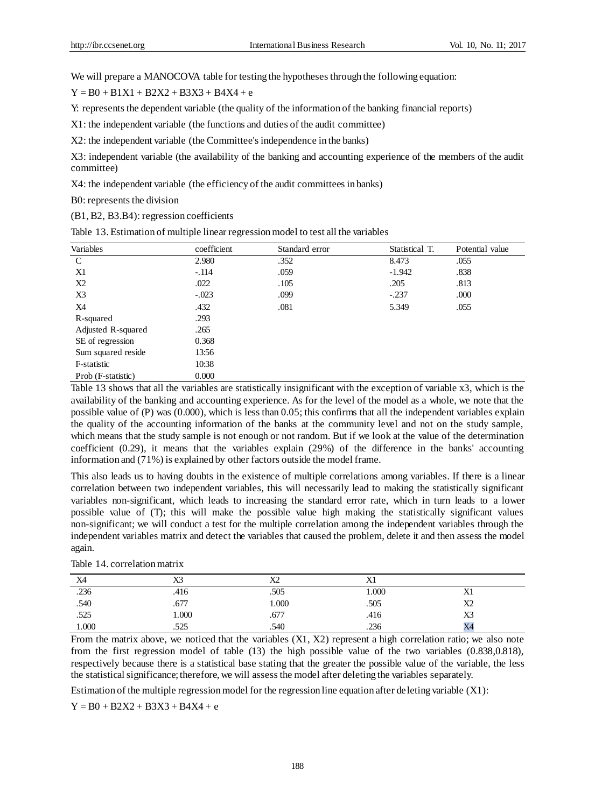We will prepare a MANOCOVA table for testing the hypotheses through the following equation:

 $Y = B0 + B1X1 + B2X2 + B3X3 + B4X4 + e$ 

Y: represents the dependent variable (the quality of the information of the banking financial reports)

X1: the independent variable (the functions and duties of the audit committee)

X2: the independent variable (the Committee's independence in the banks)

X3: independent variable (the availability of the banking and accounting experience of the members of the audit committee)

X4: the independent variable (the efficiency of the audit committees in banks)

B0: represents the division

(B1, B2, B3.B4): regression coefficients

| Variables          | coefficient | Standard error | Statistical T. | Potential value |
|--------------------|-------------|----------------|----------------|-----------------|
| $\mathbf C$        | 2.980       | .352           | 8.473          | .055            |
| X1                 | $-.114$     | .059           | $-1.942$       | .838            |
| X <sub>2</sub>     | .022        | .105           | .205           | .813            |
| X3                 | $-.023$     | .099           | $-.237$        | .000            |
| X4                 | .432        | .081           | 5.349          | .055            |
| R-squared          | .293        |                |                |                 |
| Adjusted R-squared | .265        |                |                |                 |
| SE of regression   | 0.368       |                |                |                 |
| Sum squared reside | 13:56       |                |                |                 |
| F-statistic        | 10:38       |                |                |                 |
| Prob (F-statistic) | 0.000       |                |                |                 |

Table 13. Estimation of multiple linear regression model to test all the variables

Table 13 shows that all the variables are statistically insignificant with the exception of variable x3, which is the availability of the banking and accounting experience. As for the level of the model as a whole, we note that the possible value of (P) was (0.000), which is less than 0.05; this confirms that all the independent variables explain the quality of the accounting information of the banks at the community level and not on the study sample, which means that the study sample is not enough or not random. But if we look at the value of the determination coefficient (0.29), it means that the variables explain (29%) of the difference in the banks' accounting information and (71%) is explained by other factors outside the model frame.

This also leads us to having doubts in the existence of multiple correlations among variables. If there is a linear correlation between two independent variables, this will necessarily lead to making the statistically significant variables non-significant, which leads to increasing the standard error rate, which in turn leads to a lower possible value of (T); this will make the possible value high making the statistically significant values non-significant; we will conduct a test for the multiple correlation among the independent variables through the independent variables matrix and detect the variables that caused the problem, delete it and then assess the model again.

| X4    | X3    | X2    | X1    |                |
|-------|-------|-------|-------|----------------|
| .236  | .416  | .505  | 1.000 | X1             |
| .540  | .677  | 000.1 | .505  | X2             |
| .525  | 1.000 | .677  | .416  | X3             |
| 1.000 | .525  | .540  | .236  | X <sub>4</sub> |

Table 14. correlation matrix

From the matrix above, we noticed that the variables (X1, X2) represent a high correlation ratio; we also note from the first regression model of table (13) the high possible value of the two variables (0.838,0.818), respectively because there is a statistical base stating that the greater the possible value of the variable, the less the statistical significance; therefore, we will assess the model after deleting the variables separately.

Estimation of the multiple regression model for the regression line equation after deleting variable (X1):

 $Y = B0 + B2X2 + B3X3 + B4X4 + e$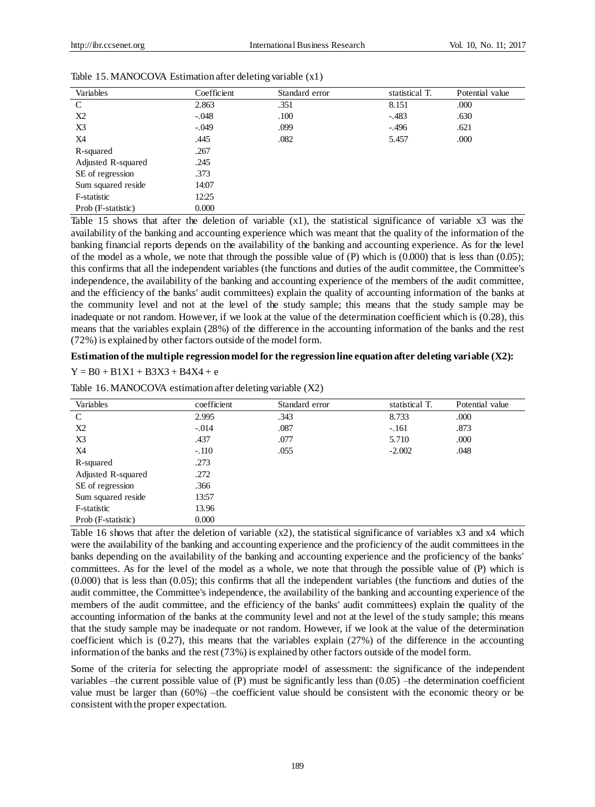| Variables          | Coefficient | Standard error | statistical T. | Potential value |
|--------------------|-------------|----------------|----------------|-----------------|
| $\mathcal{C}$      | 2.863       | .351           | 8.151          | .000            |
| X2                 | $-.048$     | .100           | $-.483$        | .630            |
| X3                 | $-.049$     | .099           | $-.496$        | .621            |
| X4                 | .445        | .082           | 5.457          | .000            |
| R-squared          | .267        |                |                |                 |
| Adjusted R-squared | .245        |                |                |                 |
| SE of regression   | .373        |                |                |                 |
| Sum squared reside | 14:07       |                |                |                 |
| F-statistic        | 12:25       |                |                |                 |
| Prob (F-statistic) | 0.000       |                |                |                 |

Table 15. MANOCOVA Estimation after deleting variable (x1)

Table 15 shows that after the deletion of variable (x1), the statistical significance of variable x3 was the availability of the banking and accounting experience which was meant that the quality of the information of the banking financial reports depends on the availability of the banking and accounting experience. As for the level of the model as a whole, we note that through the possible value of  $(P)$  which is  $(0.000)$  that is less than  $(0.05)$ ; this confirms that all the independent variables (the functions and duties of the audit committee, the Committee's independence, the availability of the banking and accounting experience of the members of the audit committee, and the efficiency of the banks' audit committees) explain the quality of accounting information of the banks at the community level and not at the level of the study sample; this means that the study sample may be inadequate or not random. However, if we look at the value of the determination coefficient which is (0.28), this means that the variables explain (28%) of the difference in the accounting information of the banks and the rest (72%) is explained by other factors outside of the model form.

## **Estimation of the multiple regression model for the regression line equation after deleting variable (X2):**

## $Y = B0 + B1X1 + B3X3 + B4X4 + e$

| Variables          | coefficient | Standard error | statistical T. | Potential value |
|--------------------|-------------|----------------|----------------|-----------------|
| C                  | 2.995       | .343           | 8.733          | .000            |
| X2                 | $-.014$     | .087           | $-.161$        | .873            |
| X3                 | .437        | .077           | 5.710          | .000            |
| X4                 | $-.110$     | .055           | $-2.002$       | .048            |
| R-squared          | .273        |                |                |                 |
| Adjusted R-squared | .272        |                |                |                 |
| SE of regression   | .366        |                |                |                 |
| Sum squared reside | 13:57       |                |                |                 |
| F-statistic        | 13.96       |                |                |                 |
| Prob (F-statistic) | 0.000       |                |                |                 |

Table 16. MANOCOVA estimation after deleting variable (X2)

Table 16 shows that after the deletion of variable (x2), the statistical significance of variables x3 and x4 which were the availability of the banking and accounting experience and the proficiency of the audit committees in the banks depending on the availability of the banking and accounting experience and the proficiency of the banks' committees. As for the level of the model as a whole, we note that through the possible value of (P) which is (0.000) that is less than (0.05); this confirms that all the independent variables (the functions and duties of the audit committee, the Committee's independence, the availability of the banking and accounting experience of the members of the audit committee, and the efficiency of the banks' audit committees) explain the quality of the accounting information of the banks at the community level and not at the level of the study sample; this means that the study sample may be inadequate or not random. However, if we look at the value of the determination coefficient which is (0.27), this means that the variables explain (27%) of the difference in the accounting information of the banks and the rest (73%) is explained by other factors outside of the model form.

Some of the criteria for selecting the appropriate model of assessment: the significance of the independent variables –the current possible value of  $(P)$  must be significantly less than  $(0.05)$  –the determination coefficient value must be larger than (60%) –the coefficient value should be consistent with the economic theory or be consistent with the proper expectation.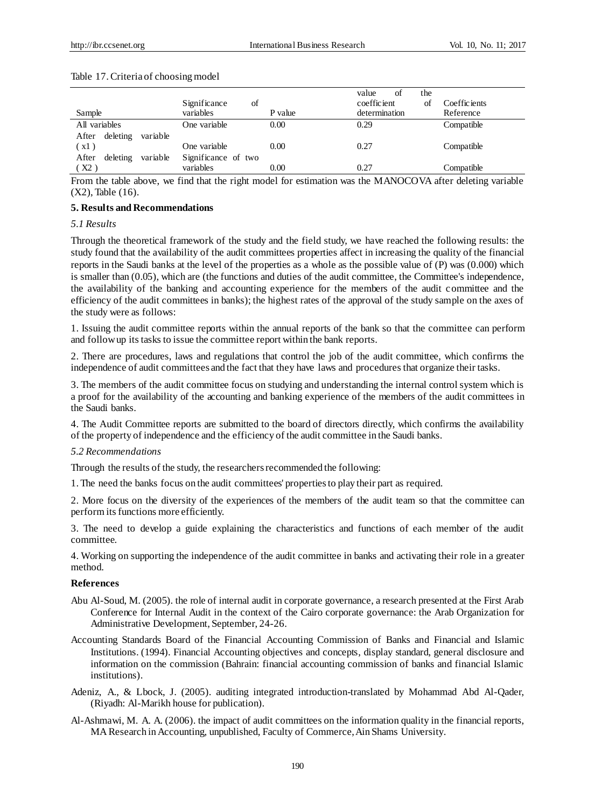| Sample                        | of<br>Significance<br>variables | P value | of<br>value<br>the<br>coefficient<br>Ωt<br>determination | Coeffic jents<br>Reference |
|-------------------------------|---------------------------------|---------|----------------------------------------------------------|----------------------------|
| All variables                 | One variable                    | 0.00    | 0.29                                                     | Compatible                 |
| deleting<br>variable<br>After |                                 |         |                                                          |                            |
| (x1)                          | One variable                    | 0.00    | 0.27                                                     | Compatible                 |
| deleting<br>variable<br>After | Significance of two             |         |                                                          |                            |
| (X2)                          | variables                       | 0.00    | 0.27                                                     | Compatible                 |

#### Table 17. Criteria of choosing model

From the table above, we find that the right model for estimation was the MANOCOVA after deleting variable (X2), Table (16).

#### **5. Results and Recommendations**

# *5.1 Results*

Through the theoretical framework of the study and the field study, we have reached the following results: the study found that the availability of the audit committees properties affect in increasing the quality of the financial reports in the Saudi banks at the level of the properties as a whole as the possible value of (P) was (0.000) which is smaller than (0.05), which are (the functions and duties of the audit committee, the Committee's independence, the availability of the banking and accounting experience for the members of the audit committee and the efficiency of the audit committees in banks); the highest rates of the approval of the study sample on the axes of the study were as follows:

1. Issuing the audit committee reports within the annual reports of the bank so that the committee can perform and follow up its tasks to issue the committee report within the bank reports.

2. There are procedures, laws and regulations that control the job of the audit committee, which confirms the independence of audit committees and the fact that they have laws and procedures that organize their tasks.

3. The members of the audit committee focus on studying and understanding the internal control system which is a proof for the availability of the accounting and banking experience of the members of the audit committees in the Saudi banks.

4. The Audit Committee reports are submitted to the board of directors directly, which confirms the availability of the property of independence and the efficiency of the audit committee in the Saudi banks.

#### *5.2 Recommendations*

Through the results of the study, the researchers recommended the following:

1. The need the banks focus on the audit committees' properties to play their part as required.

2. More focus on the diversity of the experiences of the members of the audit team so that the committee can perform its functions more efficiently.

3. The need to develop a guide explaining the characteristics and functions of each member of the audit committee.

4. Working on supporting the independence of the audit committee in banks and activating their role in a greater method.

#### **References**

- Abu Al-Soud, M. (2005). the role of internal audit in corporate governance, a research presented at the First Arab Conference for Internal Audit in the context of the Cairo corporate governance: the Arab Organization for Administrative Development, September, 24-26.
- Accounting Standards Board of the Financial Accounting Commission of Banks and Financial and Islamic Institutions. (1994). Financial Accounting objectives and concepts, display standard, general disclosure and information on the commission (Bahrain: financial accounting commission of banks and financial Islamic institutions).
- Adeniz, A., & Lbock, J. (2005). auditing integrated introduction-translated by Mohammad Abd Al-Qader, (Riyadh: Al-Marikh house for publication).
- Al-Ashmawi, M. A. A. (2006). the impact of audit committees on the information quality in the financial reports, MA Research in Accounting, unpublished, Faculty of Commerce, Ain Shams University.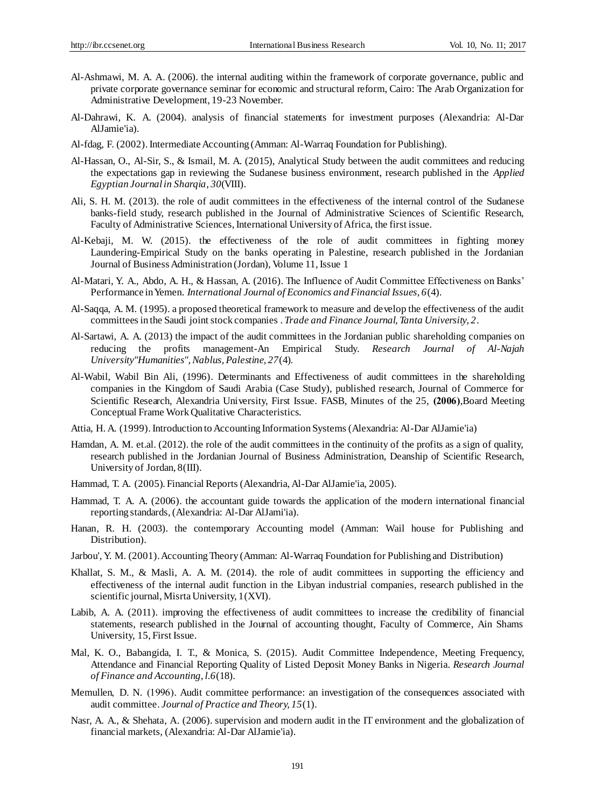- Al-Ashmawi, M. A. A. (2006). the internal auditing within the framework of corporate governance, public and private corporate governance seminar for economic and structural reform, Cairo: The Arab Organization for Administrative Development, 19-23 November.
- Al-Dahrawi, K. A. (2004). analysis of financial statements for investment purposes (Alexandria: Al-Dar AlJamie'ia).
- Al-fdag, F. (2002).Intermediate Accounting (Amman: Al-Warraq Foundation for Publishing).
- Al-Hassan, O., Al-Sir, S., & Ismail, M. A. (2015), Analytical Study between the audit committees and reducing the expectations gap in reviewing the Sudanese business environment, research published in the *Applied Egyptian Journal in Sharqia*, *30*(VIII).
- Ali, S. H. M. (2013). the role of audit committees in the effectiveness of the internal control of the Sudanese banks-field study, research published in the Journal of Administrative Sciences of Scientific Research, Faculty of Administrative Sciences, International University of Africa, the first issue.
- Al-Kebaji, M. W. (2015). the effectiveness of the role of audit committees in fighting money Laundering-Empirical Study on the banks operating in Palestine, research published in the Jordanian Journal of Business Administration (Jordan), Volume 11, Issue 1
- Al-Matari, Y. A., Abdo, A. H., & Hassan, A. (2016). The Influence of Audit Committee Effectiveness on Banks' Performance in Yemen. *International Journal of Economics and Financial Issues, 6*(4).
- Al-Saqqa, A. M. (1995). a proposed theoretical framework to measure and develop the effectiveness of the audit committees in the Saudi joint stock companies . *Trade and Finance Journal, Tanta University, 2*.
- Al-Sartawi, A. A. (2013) the impact of the audit committees in the Jordanian public shareholding companies on reducing the profits management-An Empirical Study. *Research Journal of Al-Najah University"Humanities", Nablus, Palestine, 27*(4).
- Al-Wabil, Wabil Bin Ali, (1996). Determinants and Effectiveness of audit committees in the shareholding companies in the Kingdom of Saudi Arabia (Case Study), published research, Journal of Commerce for Scientific Research, Alexandria University, First Issue. FASB, Minutes of the 25, (2006), Board Meeting Conceptual Frame Work Qualitative Characteristics.
- Attia, H. A. (1999). Introduction to Accounting Information Systems (Alexandria: Al-Dar AlJamie'ia)
- Hamdan, A. M. et.al. (2012). the role of the audit committees in the continuity of the profits as a sign of quality, research published in the Jordanian Journal of Business Administration, Deanship of Scientific Research, University of Jordan, 8(III).
- Hammad, T. A. (2005). Financial Reports (Alexandria, Al-Dar AlJamie'ia, 2005).
- Hammad, T. A. A. (2006). the accountant guide towards the application of the modern international financial reporting standards,(Alexandria: Al-Dar AlJami'ia).
- Hanan, R. H. (2003). the contemporary Accounting model (Amman: Wail house for Publishing and Distribution).
- Jarbou', Y. M. (2001).Accounting Theory (Amman: Al-Warraq Foundation for Publishing and Distribution)
- Khallat, S. M., & Masli, A. A. M. (2014). the role of audit committees in supporting the efficiency and effectiveness of the internal audit function in the Libyan industrial companies, research published in the scientific journal, Misrta University, 1(XVI).
- Labib, A. A. (2011). improving the effectiveness of audit committees to increase the credibility of financial statements, research published in the Journal of accounting thought, Faculty of Commerce, Ain Shams University, 15, First Issue.
- Mal, K. O., Babangida, I. T., & Monica, S. (2015). Audit Committee Independence, Meeting Frequency, Attendance and Financial Reporting Quality of Listed Deposit Money Banks in Nigeria. *Research Journal of Finance and Accounting, l.6*(18).
- Memullen, D. N. (1996). Audit committee performance: an investigation of the consequences associated with audit committee. *Journal of Practice and Theory, 15*(1).
- Nasr, A. A., & Shehata, A. (2006). supervision and modern audit in the IT environment and the globalization of financial markets, (Alexandria: Al-Dar AlJamie'ia).